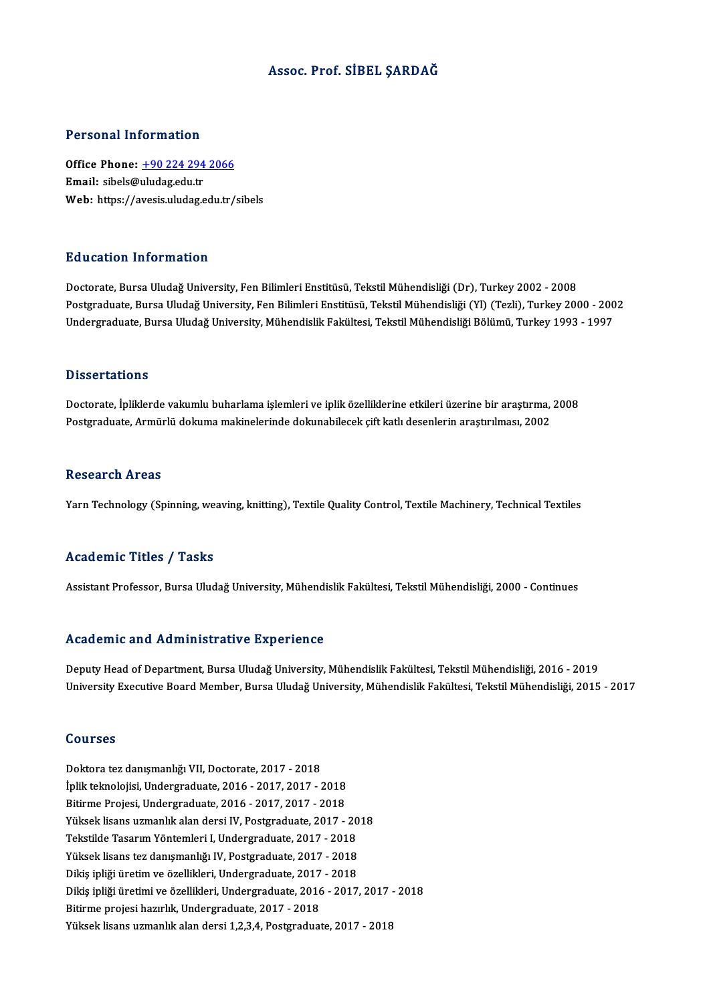### Assoc. Prof. SİBEL ŞARDAĞ

### Personal Information

Personal Information<br>Office Phone: <u>+90 224 294 2066</u><br>Email: sibels@uludes.edu.tr Procession Internation<br>Office Phone: <u>+90 224 294</u><br>Email: sibels@uludag.edu.tr Email: sibels@uludag.edu.tr<br>Web: https://a[vesis.uludag.edu.tr/](tel:+90 224 294 2066)sibels

### Education Information

Doctorate, Bursa Uludağ University, Fen Bilimleri Enstitüsü, Tekstil Mühendisliği (Dr), Turkey 2002 - 2008 Pu u custon "Mirot muston"<br>Doctorate, Bursa Uludağ University, Fen Bilimleri Enstitüsü, Tekstil Mühendisliği (Dr), Turkey 2002 - 2008<br>Undergraduate, Bursa Uludağ University, Fen Bilimleri Enstitüsü, Tekstil Mühendisliği (Y Doctorate, Bursa Uludağ University, Fen Bilimleri Enstitüsü, Tekstil Mühendisliği (Dr), Turkey 2002 - 2008<br>Postgraduate, Bursa Uludağ University, Fen Bilimleri Enstitüsü, Tekstil Mühendisliği (Yl) (Tezli), Turkey 2000 - 20 Undergraduate, Bursa Uludağ University, Mühendislik Fakültesi, Tekstil Mühendisliği Bölümü, Turkey 1993 - 1997<br>Dissertations

Doctorate, İpliklerde vakumlu buharlama işlemleri ve iplik özelliklerine etkileri üzerine bir araştırma, 2008 Postgraduate, Armürlü dokuma makinelerinde dokunabilecek çift katlı desenlerin araştırılması, 2002

### **Research Areas**

Yarn Technology (Spinning, weaving, knitting), Textile Quality Control, Textile Machinery, Technical Textiles

### Academic Titles / Tasks

Assistant Professor, Bursa Uludağ University, Mühendislik Fakültesi, Tekstil Mühendisliği, 2000 - Continues

### Academic and Administrative Experience

Deputy Head of Department, Bursa Uludağ University, Mühendislik Fakültesi, Tekstil Mühendisliği, 2016 - 2019 University Executive Board Member, Bursa Uludağ University, Mühendislik Fakültesi, Tekstil Mühendisliği, 2015 - 2017

### Courses

Doktora tez danışmanlığı VII, Doctorate, 2017 - 2018 İplik teknolojisi, Undergraduate, 2016 - 2017, 2017 - 2018 Doktora tez danışmanlığı VII, Doctorate, 2017 - 2018<br>İplik teknolojisi, Undergraduate, 2016 - 2017, 2017 - 2018<br>Bitirme Projesi, Undergraduate, 2016 - 2017, 2017 - 2018<br>Vülgek lisens uzmanlık alan darsi IV. Bostaraduate, 2 İplik teknolojisi, Undergraduate, 2016 - 2017, 2017 - 2018<br>Bitirme Projesi, Undergraduate, 2016 - 2017, 2017 - 2018<br>Yüksek lisans uzmanlık alan dersi IV, Postgraduate, 2017 - 2018<br>Tekstilde Tecerum Yöntemleri I. Undergradu Bitirme Projesi, Undergraduate, 2016 - 2017, 2017 - 2018<br>Yüksek lisans uzmanlık alan dersi IV, Postgraduate, 2017 - 20<br>Tekstilde Tasarım Yöntemleri I, Undergraduate, 2017 - 2018<br>Yüksek lisans ter danısmanlığı IV, Postgradu Yüksek lisans uzmanlık alan dersi IV, Postgraduate, 2017 - 20<br>Tekstilde Tasarım Yöntemleri I, Undergraduate, 2017 - 2018<br>Yüksek lisans tez danışmanlığı IV, Postgraduate, 2017 - 2018<br>Piltis inliği ünetim ve örellileleri, Un Tekstilde Tasarım Yöntemleri I, Undergraduate, 2017 - 2018<br>Yüksek lisans tez danışmanlığı IV, Postgraduate, 2017 - 2018<br>Dikiş ipliği üretim ve özellikleri, Undergraduate, 2017 - 2018<br>Dikiş ipliği üretimi ve özellikleri, Un Yüksek lisans tez danışmanlığı IV, Postgraduate, 2017 - 2018<br>Dikiş ipliği üretim ve özellikleri, Undergraduate, 2017 - 2018<br>Dikiş ipliği üretimi ve özellikleri, Undergraduate, 2016 - 2017, 2017 - 2018<br>Bitirme projeci hayyl Dikiş ipliği üretim ve özellikleri, Undergraduate, 2017<br>Dikiş ipliği üretimi ve özellikleri, Undergraduate, 2016<br>Bitirme projesi hazırlık, Undergraduate, 2017 - 2018<br>Vülgek lisens uzmanlık alan darsi 1.2.3.4. Bestanaduat Dikiş ipliği üretimi ve özellikleri, Undergraduate, 2016 - 2017, 2017 -<br>Bitirme projesi hazırlık, Undergraduate, 2017 - 2018<br>Yüksek lisans uzmanlık alan dersi 1,2,3,4, Postgraduate, 2017 - 2018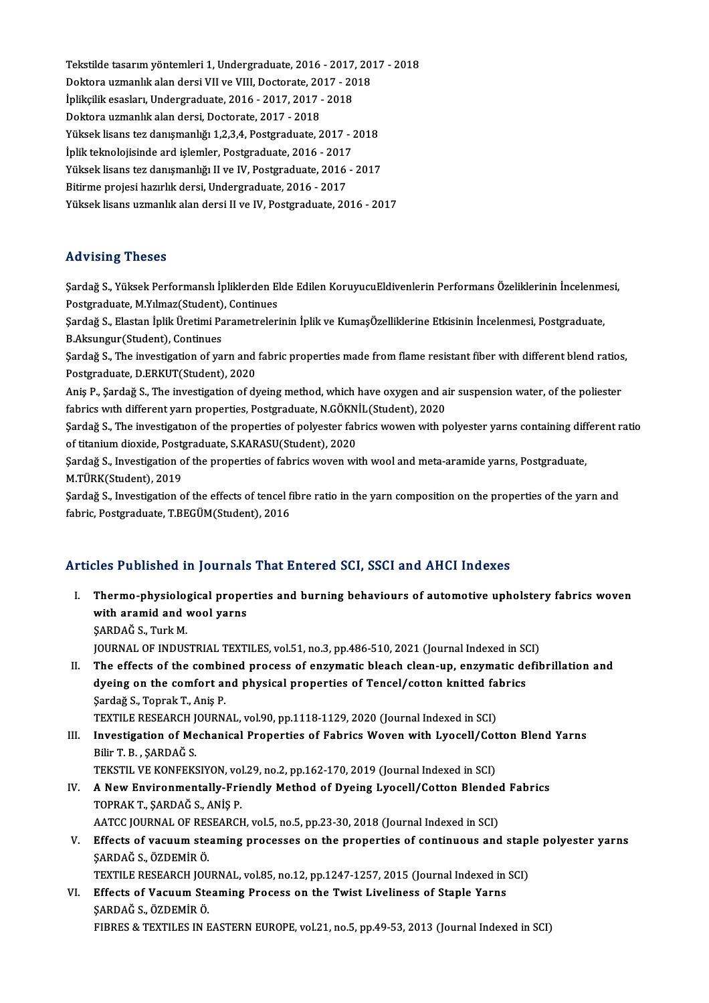Tekstilde tasarım yöntemleri 1, Undergraduate, 2016 - 2017, 2017 - 2018<br>Dektere uzmanlık alan derei VII ve VIII Destersta 2017, 2019 Tekstilde tasarım yöntemleri 1, Undergraduate, 2016 - 2017, 20<br>Doktora uzmanlık alan dersi VII ve VIII, Doctorate, 2017 - 2018<br>İnlikalik esselem Undergraduate, 2016 - 2017, 2017 - 2019 Tekstilde tasarım yöntemleri 1, Undergraduate, 2016 - 2017<br>Doktora uzmanlık alan dersi VII ve VIII, Doctorate, 2017 - 20<br>İplikçilik esasları, Undergraduate, 2016 - 2017, 2017 - 2018<br>Polttora uzmanlık alan dersi Dostanta, 2 Doktora uzmanlık alan dersi VII ve VIII, Doctorate, 2017 - 2018<br>İplikçilik esasları, Undergraduate, 2016 - 2017, 2017 - 2018<br>Doktora uzmanlık alan dersi. Doctorate, 2017 - 2018 İplikçilik esasları, Undergraduate, 2016 - 2017, 2017 - 2018<br>Doktora uzmanlık alan dersi, Doctorate, 2017 - 2018<br>Yüksek lisans tez danışmanlığı 1,2,3,4, Postgraduate, 2017 - 2018<br>İnlik telmolojisinde ard islemler. Bostgrad Doktora uzmanlık alan dersi, Doctorate, 2017 - 2018<br>Yüksek lisans tez danışmanlığı 1,2,3,4, Postgraduate, 2017 - 2<br>İplik teknolojisinde ard işlemler, Postgraduate, 2016 - 2017<br>Yüksek lisans tez danışmanlığı II ve IV. Postg Yüksek lisans tez danışmanlığı 1,2,3,4, Postgraduate, 2017 - 2018<br>İplik teknolojisinde ard işlemler, Postgraduate, 2016 - 2017<br>Yüksek lisans tez danışmanlığı II ve IV, Postgraduate, 2016 - 2017<br>Bitirme projeci hazırlık der İplik teknolojisinde ard işlemler, Postgraduate, 2016 - 2017<br>Yüksek lisans tez danışmanlığı II ve IV, Postgraduate, 2016<br>Bitirme projesi hazırlık dersi, Undergraduate, 2016 - 2017<br>Yüksek lisans uzmanlık alan dersi II ve IV Yüksek lisans tez danışmanlığı II ve IV, Postgraduate, 2016 - 2017<br>Bitirme projesi hazırlık dersi, Undergraduate, 2016 - 2017<br>Yüksek lisans uzmanlık alan dersi II ve IV, Postgraduate, 2016 - 2017 Yüksek lisans uzmanlık alan dersi II ve IV, Postgraduate, 2016 - 2017<br>Advising Theses

Advising Theses<br>Şardağ S., Yüksek Performanslı İpliklerden Elde Edilen KoruyucuEldivenlerin Performans Özeliklerinin İncelenmesi,<br>Pestanaduata M.Y.J.mag(Student), Centinues raa vising 'n reses<br>Sardağ S., Yüksek Performanslı İpliklerden El<br>Postgraduate, M.Yılmaz(Student), Continues<br>Sardağ S., Elastan İnlik Ünstimi Parametraları Şardağ S., Yüksek Performanslı İpliklerden Elde Edilen KoruyucuEldivenlerin Performans Özeliklerinin İncelenme<br>Postgraduate, M.Yılmaz(Student), Continues<br>Şardağ S., Elastan İplik Üretimi Parametrelerinin İplik ve KumaşÖzel

Postgraduate, M.Yılmaz(Student), Continues<br>Şardağ S., Elastan İplik Üretimi Parametrelerinin İplik ve KumaşÖzelliklerine Etkisinin İncelenmesi, Postgraduate,<br>B.Aksungur(Student), Continues Şardağ S., Elastan İplik Üretimi Parametrelerinin İplik ve KumaşÖzelliklerine Etkisinin İncelenmesi, Postgraduate,<br>B.Aksungur(Student), Continues<br>Şardağ S., The investigation of yarn and fabric properties made from flame r

B.Aksungur(Student), Continues<br>Şardağ S., The investigation of yarn and<br>Postgraduate, D.ERKUT(Student), 2020<br>Anis B. Sardağ S. The investigation of d: Şardağ S., The investigation of yarn and fabric properties made from flame resistant fiber with different blend ratios<br>Postgraduate, D.ERKUT(Student), 2020<br>Aniş P., Şardağ S., The investigation of dyeing method, which have

Postgraduate, D.ERKUT(Student), 2020<br>Aniş P., Şardağ S., The investigation of dyeing method, which have oxygen and a<br>fabrics with different yarn properties, Postgraduate, N.GÖKNİL(Student), 2020<br>Sardağ S. The investigation

Anis P., Şardağ S., The investigation of dyeing method, which have oxygen and air suspension water, of the poliester fabrics with different yarn properties, Postgraduate, N.GÖKNİL(Student), 2020<br>Sardağ S., The investigatio fabrics with different yarn properties, Postgraduate, N.GÖKN.<br>Şardağ S., The investigation of the properties of polyester fabrication<br>of titanium dioxide, Postgraduate, S.KARASU(Student), 2020<br>Sardağ S. Investigation of th Sardağ S., The investigation of the properties of polyester fabrics wowen with polyester yarns containing diff<br>of titanium dioxide, Postgraduate, S.KARASU(Student), 2020<br>Sardağ S., Investigation of the properties of fabric

of titanium dioxide, Post<sub>i</sub><br>Şardağ S., Investigation o<br>M.TÜRK(Student), 2019<br>Sardağ S., Investigation o Şardağ S., Investigation of the properties of fabrics woven with wool and meta-aramide yarns, Postgraduate,<br>M.TÜRK(Student), 2019<br>Şardağ S., Investigation of the effects of tencel fibre ratio in the yarn composition on the

M.TÜRK(Student), 2019<br>Şardağ S., Investigation of the effects of tencel fibre ratio in the yarn composition on the properties of the yarn and<br>fabric, Postgraduate, T.BEGÜM(Student), 2016

## Articles Published in Journals That Entered SCI, SSCI and AHCI Indexes

rticles Published in Journals That Entered SCI, SSCI and AHCI Indexes<br>I. Thermo-physiological properties and burning behaviours of automotive upholstery fabrics woven<br>with aramid and wool wang Thermo-physiological prope<br>With aramid and wool yarns<br>SARDAČ S. Turk M with aramid and wool yarns<br>SARDAĞ S., Turk M.

JOURNAL OF INDUSTRIAL TEXTILES, vol.51, no.3, pp.486-510, 2021 (Journal Indexed in SCI)

II. The effects of the combined process of enzymatic bleach clean-up, enzymatic defibrillation and JOURNAL OF INDUSTRIAL TEXTILES, vol.51, no.3, pp.486-510, 2021 (Journal Indexed in SOT The effects of the combined process of enzymatic bleach clean-up, enzymatic dedyeing on the comfort and physical properties of Tencel/c The effects of the combin<br>dyeing on the comfort an<br>Sardağ S., Toprak T., Aniş P.<br>TEYTH E PESEARCH JOUPN dyeing on the comfort and physical properties of Tencel/cotton knitted fa<br>Sardağ S., Toprak T., Aniş P.<br>TEXTILE RESEARCH JOURNAL, vol.90, pp.1118-1129, 2020 (Journal Indexed in SCI)<br>Investigation of Mosbonisal Properties o

Sardağ S., Toprak T., Aniş P.<br>TEXTILE RESEARCH JOURNAL, vol.90, pp.1118-1129, 2020 (Journal Indexed in SCI)<br>III. Investigation of Mechanical Properties of Fabrics Woven with Lyocell/Cotton Blend Yarns<br>Pilir T. B. SARDAČ S. TEXTILE RESEARCH J<br>Investigation of Me<br>Bilir T. B. , ŞARDAĞ S.<br>TEKSTIL VE KONEEKS Investigation of Mechanical Properties of Fabrics Woven with Lyocell/Cot<br>Bilir T. B. , ŞARDAĞ S.<br>TEKSTIL VE KONFEKSIYON, vol.29, no.2, pp.162-170, 2019 (Journal Indexed in SCI)<br>A Now Environmentelly Exiendly Method of Dyei

Bilir T. B. , ŞARDAĞ S.<br>TEKSTIL VE KONFEKSIYON, vol.29, no.2, pp.162-170, 2019 (Journal Indexed in SCI)<br>IV. A New Environmentally-Friendly Method of Dyeing Lyocell/Cotton Blended Fabrics<br>TOPRAK T. SARDAĞ S. ANIS R TEKSTIL VE KONFEKSIYON, vol<br>A New Environmentally-Fri<br>TOPRAK T., ŞARDAĞ S., ANİŞ P.<br>AATCC JOUPNAL OF PESEARCL A New Environmentally-Friendly Method of Dyeing Lyocell/Cotton Blender<br>TOPRAK T., ŞARDAĞ S., ANİŞ P.<br>AATCC JOURNAL OF RESEARCH, vol.5, no.5, pp.23-30, 2018 (Journal Indexed in SCI)<br>Effects of vocuum steeming processes on t

TOPRAK T., ŞARDAĞ S., ANİŞ P.<br>AATCC JOURNAL OF RESEARCH, vol.5, no.5, pp.23-30, 2018 (Journal Indexed in SCI)<br>V. Effects of vacuum steaming processes on the properties of continuous and staple polyester yarns<br>SARDAČ S. ÖZD AATCC JOURNAL OF RES<br><mark>Effects of vacuum ste</mark><br>ŞARDAĞ S., ÖZDEMİR Ö.<br>TEYTU E DESEARCH JOU Effects of vacuum steaming processes on the properties of continuous and stapl<br>ŞARDAĞ S., ÖZDEMİR Ö.<br>TEXTILE RESEARCH JOURNAL, vol.85, no.12, pp.1247-1257, 2015 (Journal Indexed in SCI)<br>Fffects of Vocuum Steaming Process o

SARDAĞ S., ÖZDEMİR Ö.<br>TEXTILE RESEARCH JOURNAL, vol.85, no.12, pp.1247-1257, 2015 (Journal Indexed in<br>VI. Effects of Vacuum Steaming Process on the Twist Liveliness of Staple Yarns<br>SARDAĞ S. ÖZDEMİR Ö. TEXTILE RESEARCH JOU<br>Effects of Vacuum Ste<br>ŞARDAĞ S., ÖZDEMİR Ö.<br>EIBBES 8. TEVTU ES IN E FIBRES&TEXTILES INEASTERNEUROPE,vol.21,no.5,pp.49-53,2013 (Journal Indexed inSCI)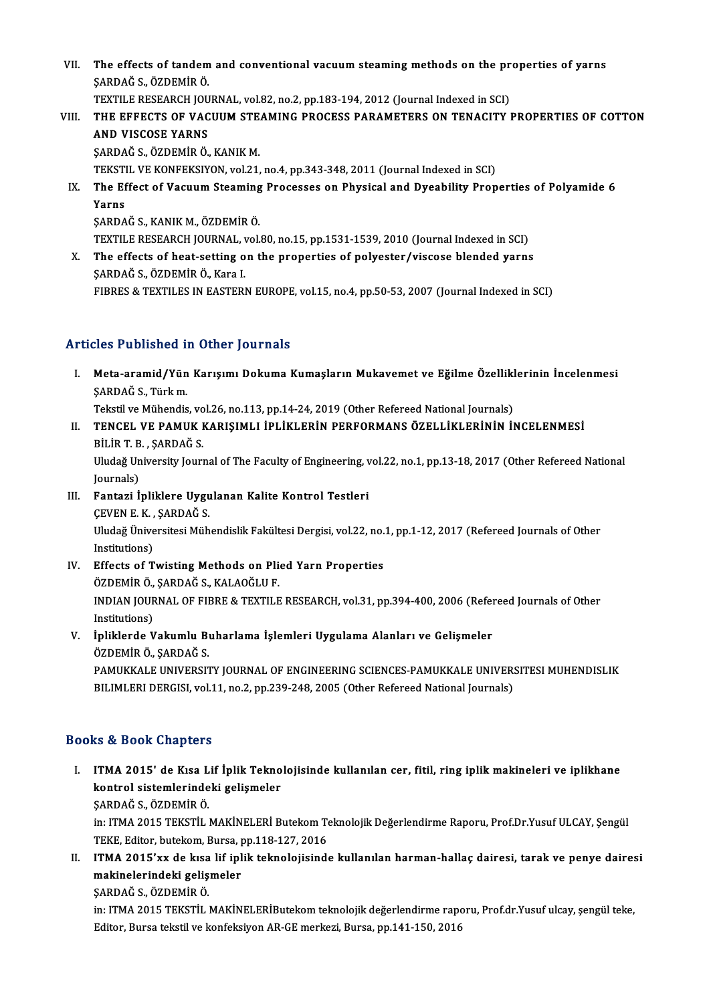VII. The effects of tandem and conventional vacuum steaming methods on the properties of yarns<br>SARRAČ S. ÖZREMIR Ö ŞARDAĞS.,ÖZDEMİRÖ. The effects of tandem and conventional vacuum steaming methods on the pr<br>SARDAĞ S., ÖZDEMİR Ö.<br>TEXTILE RESEARCH JOURNAL, vol.82, no.2, pp.183-194, 2012 (Journal Indexed in SCI)<br>THE EFFECTS OF VACUUM STEAMING PROGESS RARAME

TEXTILE RESEARCH JOURNAL, vol.82, no.2, pp.183-194, 2012 (Journal Indexed in SCI)

## VIII. THE EFFECTS OF VACUUM STEAMING PROCESS PARAMETERS ON TENACITY PROPERTIES OF COTTON<br>AND VISCOSE YARNS

SARDAĞ S., ÖZDEMİR Ö., KANIK M. AND VISCOSE YARNS<br>ŞARDAĞ S., ÖZDEMİR Ö., KANIK M.<br>TEKSTIL VE KONFEKSIYON, vol.21, no.4, pp.343-348, 2011 (Journal Indexed in SCI)<br>The Effect of Voquum Steaming Brossesse on Physical and Dysobility Bron

IX. The Effect of Vacuum Steaming Processes on Physical and Dyeability Properties of Polyamide 6<br>Yarns TEKSTI<br>The Ef<br>Yarns<br>SARDA Yarns<br>ŞARDAĞ S., KANIK M., ÖZDEMİR Ö.<br>TEXTILE RESEARCH JOURNAL, vol.80, no.15, pp.1531-1539, 2010 (Journal Indexed in SCI)<br>The effects of best setting on the properties of polyester (vissess blanded verne

ŞARDAĞS.,KANIKM.,ÖZDEMİRÖ.

SARDAĞ S., KANIK M., ÖZDEMİR Ö.<br>TEXTILE RESEARCH JOURNAL, vol.80, no.15, pp.1531-1539, 2010 (Journal Indexed in SCI)<br>X. The effects of heat-setting on the properties of polyester/viscose blended yarns<br>SARDAČ S. ÖZDEMİR Ö. TEXTILE RESEARCH JOURNAL, v<br>The effects of heat-setting o<br>ŞARDAĞ S., ÖZDEMİR Ö., Kara I.<br>FIRDES & TEVTU ES IN EASTERI X. The effects of heat-setting on the properties of polyester/viscose blended yarns<br>SARDAĞ S., ÖZDEMİR Ö., Kara I.<br>FIBRES & TEXTILES IN EASTERN EUROPE, vol.15, no.4, pp.50-53, 2007 (Journal Indexed in SCI)

## Articles Published in Other Journals

rticles Published in Other Journals<br>I. Meta-aramid/Yün Karışımı Dokuma Kumaşların Mukavemet ve Eğilme Özelliklerinin İncelenmesi<br>SARDAĞ S. Türk m stes 1 astroned 1:<br>Meta-aramid/Yün<br>ŞARDAĞ S., Türk m.<br>Tekstil ve Mühendis Meta-aramid/Yün Karışımı Dokuma Kumaşların Mukavemet ve Eğilme Özellikl<br>ŞARDAĞ S., Türk m.<br>Tekstil ve Mühendis, vol.26, no.113, pp.14-24, 2019 (Other Refereed National Journals)<br>TENGEL VE RAMILK KARISIMLI İRLİRI RRİN REREO

ŞARDAĞ S., Türk m.<br>Tekstil ve Mühendis, vol.26, no.113, pp.14-24, 2019 (Other Refereed National Journals)<br>II. TENCEL VE PAMUK KARIŞIMLI İPLİKLERİN PERFORMANS ÖZELLİKLERİNİN İNCELENMESİ<br>BİLİR T. B. , SARDAĞ S. Tekstil ve Mühendis, vo<br>TENCEL VE PAMUK I<br>BİLİR T. B. , ŞARDAĞ S.<br>Uludağ University Iourr TENCEL VE PAMUK KARIŞIMLI İPLİKLERİN PERFORMANS ÖZELLİKLERİNİN İNCELENMESİ<br>BİLİR T. B. , ŞARDAĞ S.<br>Uludağ University Journal of The Faculty of Engineering, vol.22, no.1, pp.13-18, 2017 (Other Refereed National<br>Journale) BİLİR T. B<br>Uludağ Un<br>Journals)<br>Fentari İ

Uludağ University Journal of The Faculty of Engineering, v<br>Journals)<br>III. Fantazi İpliklere Uygulanan Kalite Kontrol Testleri<br>CEVENE K. SAPDAĞ S

Journals)<br>F<mark>antazi İpliklere Uygu</mark><br>ÇEVEN E. K. , ŞARDAĞ S.<br>Uludağ Üniversitesi Müh ÇEVEN E.K., ŞARDAĞ S.

Uludağ Üniversitesi Mühendislik Fakültesi Dergisi, vol.22, no.1, pp.1-12, 2017 (Refereed Journals of Other<br>Institutions) Uludağ Üniversitesi Mühendislik Fakültesi Dergisi, vol.22, no.<br>Institutions)<br>IV. Effects of Twisting Methods on Plied Yarn Properties<br>ÖZDEMIR Ö SARDAĞ S. KALAQĞLUE

Institutions)<br>Effects of Twisting Methods on Pli<br>ÖZDEMİR Ö., ŞARDAĞ S., KALAOĞLU F.<br>INDIAN JOUPMAL OF FIPPE & TEYTU E Effects of Twisting Methods on Plied Yarn Properties<br>ÖZDEMİR Ö., ŞARDAĞ S., KALAOĞLU F.<br>INDIAN JOURNAL OF FIBRE & TEXTILE RESEARCH, vol.31, pp.394-400, 2006 (Refereed Journals of Other<br>Institutione) ÖZDEMİR Ö.,<br>INDIAN JOUF<br>Institutions)<br>İnliklanda V INDIAN JOURNAL OF FIBRE & TEXTILE RESEARCH, vol.31, pp.394-400, 2006 (Refer<br>Institutions)<br>V. İpliklerde Vakumlu Buharlama İşlemleri Uygulama Alanları ve Gelişmeler<br>ÖZDEMİR Ö. SARDAĞ S.

# Institutions)<br>İpliklerde Vakumlu Bı<br>ÖZDEMİR Ö., ŞARDAĞ S.<br>PAMIKKALE UNIVERSI' İpliklerde Vakumlu Buharlama İşlemleri Uygulama Alanları ve Gelişmeler<br>ÖZDEMİR Ö., ŞARDAĞ S.<br>PAMUKKALE UNIVERSITY JOURNAL OF ENGINEERING SCIENCES-PAMUKKALE UNIVERSITESI MUHENDISLIK<br>PILIMI EPLDERCISL VOL11 no.2, nn.229,248,

ÖZDEMİR Ö., ŞARDAĞ S.<br>PAMUKKALE UNIVERSITY JOURNAL OF ENGINEERING SCIENCES-PAMUKKALE UNIVER:<br>BILIMLERI DERGISI, vol.11, no.2, pp.239-248, 2005 (Other Refereed National Journals) BILIMLERI DERGISI, vol.11, no.2, pp.239-248, 2005 (Other Refereed National Journals)<br>Books & Book Chapters

ooks & Book Chapters<br>I. ITMA 2015' de Kısa Lif İplik Teknolojisinde kullanılan cer, fitil, ring iplik makineleri ve iplikhane<br>kontrol sistemlerindeki selismeler kontrol sistemlerindeki gelişmeler<br>ITMA 2015'de Kısa Lif İplik Tekno<br>SARDAČS ÖZDEMİRÖ kontrol sistemlerindeki gelişmeler<br>SARDAĞ S., ÖZDEMİR Ö.

in: ITMA 2015 TEKSTİL MAKİNELERİ Butekom Teknolojik Değerlendirme Raporu, Prof.Dr.Yusuf ULCAY, Şengül ŞARDAĞ S., ÖZDEMİR Ö.<br>in: ITMA 2015 TEKSTİL MAKİNELERİ Butekom Te<br>TEKE, Editor, butekom, Bursa, pp.118-127, 2016<br>ITMA 2015'uy de kısa lif inlik teknolojisinde in: ITMA 2015 TEKSTİL MAKİNELERİ Butekom Teknolojik Değerlendirme Raporu, Prof.Dr.Yusuf ULCAY, Şengül<br>TEKE, Editor, butekom, Bursa, pp.118-127, 2016<br>II. ITMA 2015'xx de kısa lif iplik teknolojisinde kullanılan harman-halla

TEKE, Editor, butekom, Bursa, p<br>ITMA 2015'xx de kısa lif ipl<br>makinelerindeki gelişmeler<br>SAPDAČ S. ÖZDEMİP Ö ITMA 2015'xx de kısa<br>makinelerindeki geliş<br>ŞARDAĞ S., ÖZDEMİR Ö.<br>in: ITMA 2015 TEKSTİL İ

makinelerindeki gelişmeler<br>ŞARDAĞ S., ÖZDEMİR Ö.<br>in: ITMA 2015 TEKSTİL MAKİNELERİButekom teknolojik değerlendirme raporu, Prof.dr.Yusuf ulcay, şengül teke,<br>Editor, Burca tekstil ve konfeksiven AB.CE merkezi, Burca, nn 141, ŞARDAĞ S., ÖZDEMİR Ö.<br>in: ITMA 2015 TEKSTİL MAKİNELERİButekom teknolojik değerlendirme rapo<br>Editor, Bursa tekstil ve konfeksiyon AR-GE merkezi, Bursa, pp.141-150, 2016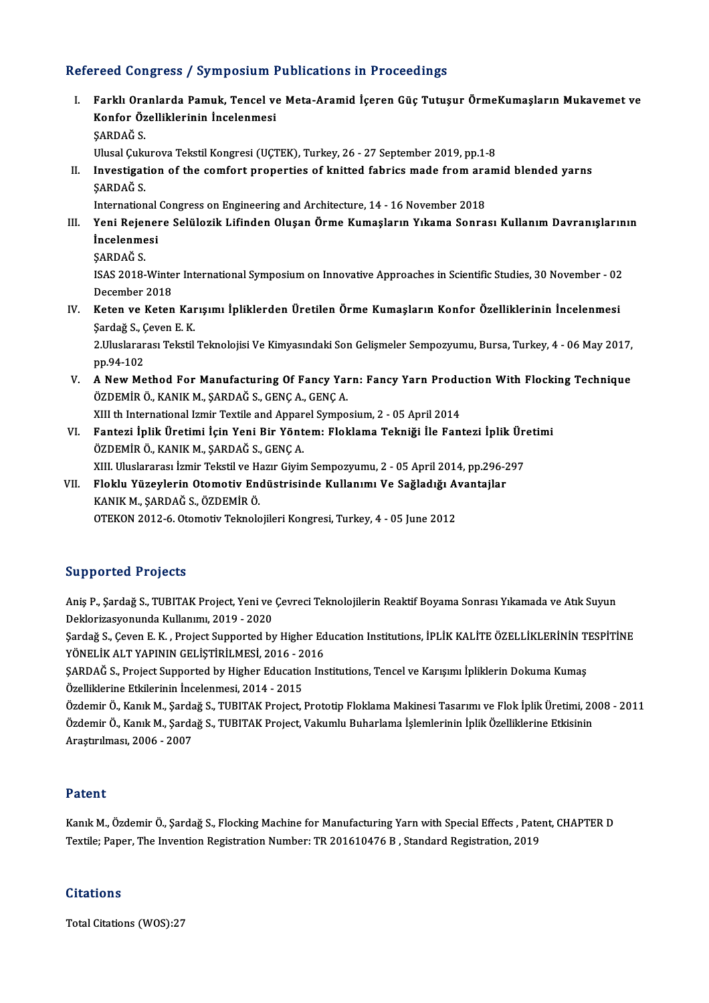## Refereed Congress / Symposium Publications in Proceedings

efereed Congress / Symposium Publications in Proceedings<br>I. Farklı Oranlarda Pamuk, Tencel ve Meta-Aramid İçeren Güç Tutuşur ÖrmeKumaşların Mukavemet ve<br>Konfor Örelliklerinin İngelemmesi rood dongrood / by mpoorum I<br>Farklı Oranlarda Pamuk, Tencel ve<br>Konfor Özelliklerinin İncelenmesi Farklı Ora<br>Konfor Öz<br>ŞARDAĞ S. Konfor Özelliklerinin İncelenmesi<br>ŞARDAĞ S.<br>Ulusal Çukurova Tekstil Kongresi (UÇTEK), Turkey, 26 - 27 September 2019, pp.1-8

## \$ARDAĞ S.<br>Ulusal Çukurova Tekstil Kongresi (UÇTEK), Turkey, 26 - 27 September 2019, pp.1-8<br>II. Investigation of the comfort properties of knitted fabrics made from aramid blended yarns<br>SARDAČ S Ulusal Çuk<mark>ı</mark><br>Investigat<br>ŞARDAĞ S. Investigation of the comfort properties of knitted fabrics made from ara<br>SARDAĞ S.<br>International Congress on Engineering and Architecture, 14 - 16 November 2018<br>Yoni Bejanara Sakilagik Lifindan Olysan Örme Kumasların Yıkam

- ŞARDAĞ S.<br>International Congress on Engineering and Architecture, 14 16 November 2018<br>III. Yeni Rejenere Selülozik Lifinden Oluşan Örme Kumaşların Yıkama Sonrası Kullanım Davranışlarının<br>İncelenmesi International<br>Yeni Rejenei<br>İncelenmesi<br>SARDAČ S Yeni Rejei<br>İncelenme<br>ŞARDAĞ S.<br>ISAS 2019
	-

İncelenmesi<br>ŞARDAĞ S.<br>ISAS 2018-Winter International Symposium on Innovative Approaches in Scientific Studies, 30 November - 02<br>Desember 2018 ŞARDAĞ S.<br>ISAS 2018-Winte<br>December 2018<br>Katan ve Katan ISAS 2018-Winter International Symposium on Innovative Approaches in Scientific Studies, 30 November - 02<br>December 2018<br>IV. Keten ve Keten Karışımı İpliklerden Üretilen Örme Kumaşların Konfor Özelliklerinin İncelenmesi<br>Sar

December 2018<br>**Keten ve Keten Kar**<br>Şardağ S., Çeven E. K.<br>2 Uluslararası Tekstil Keten ve Keten Karışımı İpliklerden Üretilen Örme Kumaşların Konfor Özelliklerinin İncelenmesi<br>Şardağ S., Çeven E. K.<br>2.Uluslararası Tekstil Teknolojisi Ve Kimyasındaki Son Gelişmeler Sempozyumu, Bursa, Turkey, 4 - 06 May

Sardağ S., Ç<br>2.Uluslarar<br>pp.94-102<br>A Now Mo 2.Uluslararası Tekstil Teknolojisi Ve Kimyasındaki Son Gelişmeler Sempozyumu, Bursa, Turkey, 4 - 06 May 2017,<br>pp.94-102<br>V. A New Method For Manufacturing Of Fancy Yarn: Fancy Yarn Production With Flocking Technique<br>ÖZDEMİR

pp.94-102<br>A New Method For Manufacturing Of Fancy Yaı<br>ÖZDEMİR Ö., KANIK M., ŞARDAĞ S., GENÇ A., GENÇ A.<br>YII th International Ismir Textile and Annarel Sumne A New Method For Manufacturing Of Fancy Yarn: Fancy Yarn Produ<br>ÖZDEMİR Ö., KANIK M., ŞARDAĞ S., GENÇ A., GENÇ A.<br>XIII th International Izmir Textile and Apparel Symposium, 2 - 05 April 2014<br>Fantazi İnlik Ünatimi İsin Yani

ÖZDEMİR Ö., KANIK M., ŞARDAĞ S., GENÇ A., GENÇ A.<br>XIII th International Izmir Textile and Apparel Symposium, 2 - 05 April 2014<br>VI. Fantezi İplik Üretimi İçin Yeni Bir Yöntem: Floklama Tekniği İle Fantezi İplik Üretimi<br>ÖZ XIII th International Izmir Textile and Apparel Symposium, 2 - 05 April 2014<br>Fantezi İplik Üretimi İçin Yeni Bir Yöntem: Floklama Tekniği İle Fantezi İplik Ür<br>ÖZDEMİR Ö., KANIK M., ŞARDAĞ S., GENÇ A.<br>XIII. Uluslararası İzm Fantezi İplik Üretimi İçin Yeni Bir Yöntem: Floklama Tekniği İle Fantezi İplik Üre<br>ÖZDEMİR Ö., KANIK M., ŞARDAĞ S., GENÇ A.<br>XIII. Uluslararası İzmir Tekstil ve Hazır Giyim Sempozyumu, 2 - 05 April 2014, pp.296-297<br>Floklu Y

VII. Floklu Yüzeylerin Otomotiv Endüstrisinde Kullanımı Ve Sağladığı Avantajlar KANIKM.,ŞARDAĞS.,ÖZDEMİRÖ. OTEKON2012-6.OtomotivTeknolojileriKongresi,Turkey,4 -05 June 2012

### Supported Projects

Aniş P., Şardağ S., TUBITAK Project, Yeni ve Çevreci Teknolojilerin Reaktif Boyama Sonrası Yıkamada ve Atık Suyun Deklorizasyonunda Kullanımı, 2019 - 2020 Aniş P., Şardağ S., TUBITAK Project, Yeni ve Çevreci Teknolojilerin Reaktif Boyama Sonrası Yıkamada ve Atık Suyun<br>Deklorizasyonunda Kullanımı, 2019 - 2020<br>Şardağ S., Çeven E. K. , Project Supported by Higher Education Inst

Deklorizasyonunda Kullanımı, 2019 - 2020<br>Şardağ S., Çeven E. K. , Project Supported by Higher Ed<br>YÖNELİK ALT YAPININ GELİŞTİRİLMESİ, 2016 - 2016<br>SAPDAĞ S. Project Supported bu Higher Education Inc Şardağ S., Çeven E. K. , Project Supported by Higher Education Institutions, İPLİK KALİTE ÖZELLİKLERİNİN TI<br>YÖNELİK ALT YAPININ GELİŞTİRİLMESİ, 2016 - 2016<br>ŞARDAĞ S., Project Supported by Higher Education Institutions, Ten

YÖNELİK ALT YAPININ GELİŞTİRİLMESİ, 2016 - 2016<br>ŞARDAĞ S., Project Supported by Higher Education Institutions, Tencel ve Karışımı İpliklerin Dokuma Kumaş<br>Özelliklerine Etkilerinin İncelenmesi, 2014 - 2015 ŞARDAĞ S., Project Supported by Higher Education Institutions, Tencel ve Karışımı İpliklerin Dokuma Kumaş<br>Özelliklerine Etkilerinin İncelenmesi, 2014 - 2015<br>Özdemir Ö., Kanık M., Şardağ S., TUBITAK Project, Prototip Flokla

Özelliklerine Etkilerinin İncelenmesi, 2014 - 2015<br>Özdemir Ö., Kanık M., Şardağ S., TUBITAK Project, Prototip Floklama Makinesi Tasarımı ve Flok İplik Üretimi, 20<br>Özdemir Ö., Kanık M., Şardağ S., TUBITAK Project, Vakumlu B Özdemir Ö., Kanık M., Şarda<br>Özdemir Ö., Kanık M., Şarda<br>Araştırılması, 2006 - 2007 Araştırılması, 2006 - 2007<br>Patent

**Patent**<br>Kanık M., Özdemir Ö., Şardağ S., Flocking Machine for Manufacturing Yarn with Special Effects , Patent, CHAPTER D<br>Textile: Paper, The Invention Pegistration Number: TP 201610476 P. Standard Pegistration, 2019 r acorre<br>Kanık M., Özdemir Ö., Şardağ S., Flocking Machine for Manufacturing Yarn with Special Effects , Pate<br>Textile; Paper, The Invention Registration Number: TR 201610476 B , Standard Registration, 2019 Textile; Paper, The Invention Registration Number: TR 201610476 B , Standard Registration, 2019<br>Citations

Total Citations (WOS):27